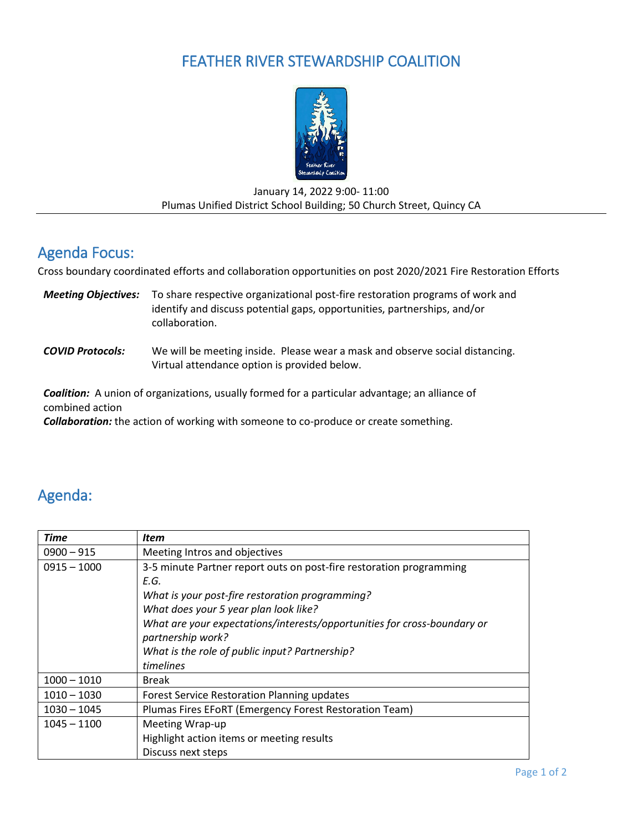# FEATHER RIVER STEWARDSHIP COALITION



#### January 14, 2022 9:00- 11:00 Plumas Unified District School Building; 50 Church Street, Quincy CA

### Agenda Focus:

Cross boundary coordinated efforts and collaboration opportunities on post 2020/2021 Fire Restoration Efforts

- *Meeting Objectives:* To share respective organizational post-fire restoration programs of work and identify and discuss potential gaps, opportunities, partnerships, and/or collaboration.
- *COVID Protocols:* We will be meeting inside. Please wear a mask and observe social distancing. Virtual attendance option is provided below.

*Coalition:* A union of organizations, usually formed for a particular advantage; an alliance of combined action

*Collaboration:* the action of working with someone to co-produce or create something.

# Agenda:

| <b>Time</b>   | <b>Item</b>                                                              |
|---------------|--------------------------------------------------------------------------|
| $0900 - 915$  | Meeting Intros and objectives                                            |
| $0915 - 1000$ | 3-5 minute Partner report outs on post-fire restoration programming      |
|               | E.G.                                                                     |
|               | What is your post-fire restoration programming?                          |
|               | What does your 5 year plan look like?                                    |
|               | What are your expectations/interests/opportunities for cross-boundary or |
|               | partnership work?                                                        |
|               | What is the role of public input? Partnership?                           |
|               | timelines                                                                |
| $1000 - 1010$ | <b>Break</b>                                                             |
| $1010 - 1030$ | <b>Forest Service Restoration Planning updates</b>                       |
| $1030 - 1045$ | Plumas Fires EFoRT (Emergency Forest Restoration Team)                   |
| $1045 - 1100$ | Meeting Wrap-up                                                          |
|               | Highlight action items or meeting results                                |
|               | Discuss next steps                                                       |